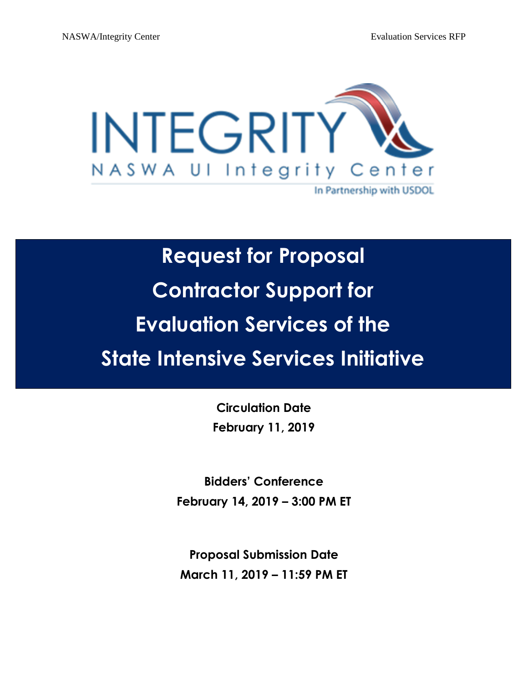

# **Request for Proposal Contractor Support for Evaluation Services of the State Intensive Services Initiative**

**Circulation Date February 11, 2019**

**Bidders' Conference February 14, 2019 – 3:00 PM ET** 

**Proposal Submission Date March 11, 2019 – 11:59 PM ET**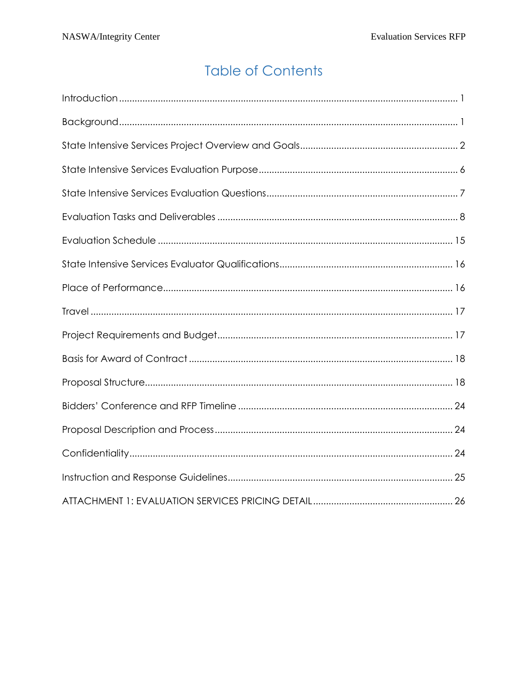# **Table of Contents**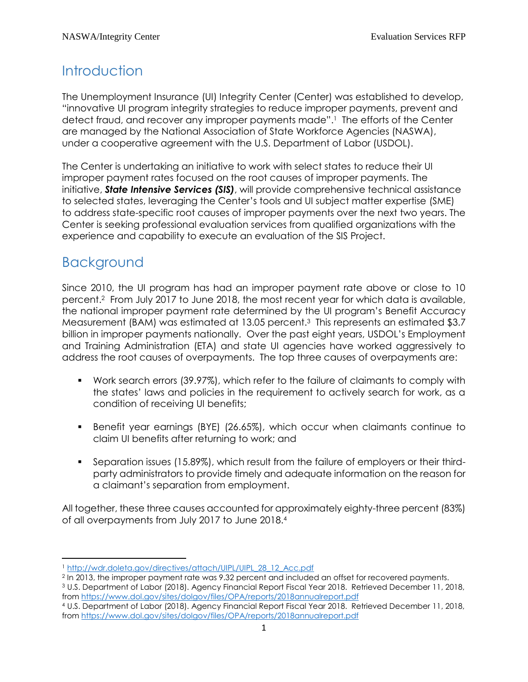# <span id="page-2-0"></span>**Introduction**

The Unemployment Insurance (UI) Integrity Center (Center) was established to develop, "innovative UI program integrity strategies to reduce improper payments, prevent and detect fraud, and recover any improper payments made". <sup>1</sup> The efforts of the Center are managed by the National Association of State Workforce Agencies (NASWA), under a cooperative agreement with the U.S. Department of Labor (USDOL).

The Center is undertaking an initiative to work with select states to reduce their UI improper payment rates focused on the root causes of improper payments. The initiative, *State Intensive Services (SIS)*, will provide comprehensive technical assistance to selected states, leveraging the Center's tools and UI subject matter expertise (SME) to address state-specific root causes of improper payments over the next two years. The Center is seeking professional evaluation services from qualified organizations with the experience and capability to execute an evaluation of the SIS Project.

# <span id="page-2-1"></span>Background

 $\overline{\phantom{a}}$ 

Since 2010, the UI program has had an improper payment rate above or close to 10 percent.<sup>2</sup> From July 2017 to June 2018, the most recent year for which data is available, the national improper payment rate determined by the UI program's Benefit Accuracy Measurement (BAM) was estimated at 13.05 percent.<sup>3</sup> This represents an estimated \$3.7 billion in improper payments nationally. Over the past eight years, USDOL's Employment and Training Administration (ETA) and state UI agencies have worked aggressively to address the root causes of overpayments. The top three causes of overpayments are:

- Work search errors (39.97%), which refer to the failure of claimants to comply with the states' laws and policies in the requirement to actively search for work, as a condition of receiving UI benefits;
- Benefit year earnings (BYE) (26.65%), which occur when claimants continue to claim UI benefits after returning to work; and
- Separation issues (15.89%), which result from the failure of employers or their thirdparty administrators to provide timely and adequate information on the reason for a claimant's separation from employment.

All together, these three causes accounted for approximately eighty-three percent (83%) of all overpayments from July 2017 to June 2018. 4

<sup>1</sup> [http://wdr.doleta.gov/directives/attach/UIPL/UIPL\\_28\\_12\\_Acc.pdf](http://wdr.doleta.gov/directives/attach/UIPL/UIPL_28_12_Acc.pdf)

<sup>2</sup> In 2013, the improper payment rate was 9.32 percent and included an offset for recovered payments.

<sup>3</sup> U.S. Department of Labor (2018). Agency Financial Report Fiscal Year 2018. Retrieved December 11, 2018, from<https://www.dol.gov/sites/dolgov/files/OPA/reports/2018annualreport.pdf>

<sup>4</sup> U.S. Department of Labor (2018). Agency Financial Report Fiscal Year 2018. Retrieved December 11, 2018, from<https://www.dol.gov/sites/dolgov/files/OPA/reports/2018annualreport.pdf>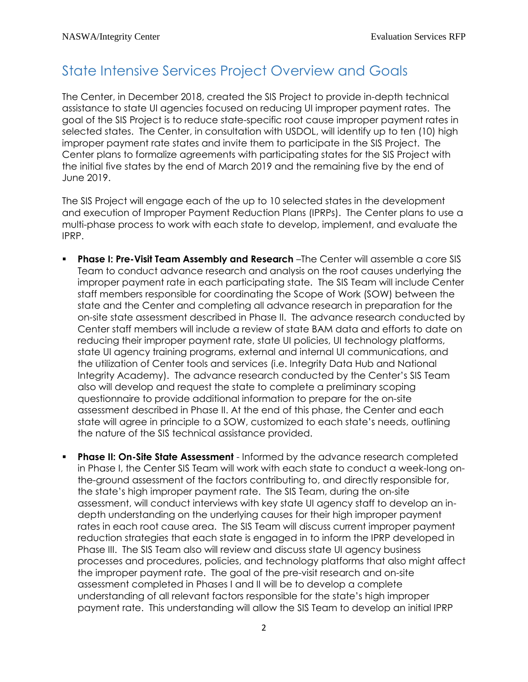### <span id="page-3-0"></span>State Intensive Services Project Overview and Goals

The Center, in December 2018, created the SIS Project to provide in-depth technical assistance to state UI agencies focused on reducing UI improper payment rates. The goal of the SIS Project is to reduce state-specific root cause improper payment rates in selected states. The Center, in consultation with USDOL, will identify up to ten (10) high improper payment rate states and invite them to participate in the SIS Project. The Center plans to formalize agreements with participating states for the SIS Project with the initial five states by the end of March 2019 and the remaining five by the end of June 2019.

The SIS Project will engage each of the up to 10 selected states in the development and execution of Improper Payment Reduction Plans (IPRPs). The Center plans to use a multi-phase process to work with each state to develop, implement, and evaluate the IPRP.

- **Phase I: Pre-Visit Team Assembly and Research** –The Center will assemble a core SIS Team to conduct advance research and analysis on the root causes underlying the improper payment rate in each participating state. The SIS Team will include Center staff members responsible for coordinating the Scope of Work (SOW) between the state and the Center and completing all advance research in preparation for the on-site state assessment described in Phase II. The advance research conducted by Center staff members will include a review of state BAM data and efforts to date on reducing their improper payment rate, state UI policies, UI technology platforms, state UI agency training programs, external and internal UI communications, and the utilization of Center tools and services (i.e. Integrity Data Hub and National Integrity Academy). The advance research conducted by the Center's SIS Team also will develop and request the state to complete a preliminary scoping questionnaire to provide additional information to prepare for the on-site assessment described in Phase II. At the end of this phase, the Center and each state will agree in principle to a SOW, customized to each state's needs, outlining the nature of the SIS technical assistance provided.
- **Phase II: On-Site State Assessment** Informed by the advance research completed in Phase I, the Center SIS Team will work with each state to conduct a week-long onthe-ground assessment of the factors contributing to, and directly responsible for, the state's high improper payment rate. The SIS Team, during the on-site assessment, will conduct interviews with key state UI agency staff to develop an indepth understanding on the underlying causes for their high improper payment rates in each root cause area. The SIS Team will discuss current improper payment reduction strategies that each state is engaged in to inform the IPRP developed in Phase III. The SIS Team also will review and discuss state UI agency business processes and procedures, policies, and technology platforms that also might affect the improper payment rate. The goal of the pre-visit research and on-site assessment completed in Phases I and II will be to develop a complete understanding of all relevant factors responsible for the state's high improper payment rate. This understanding will allow the SIS Team to develop an initial IPRP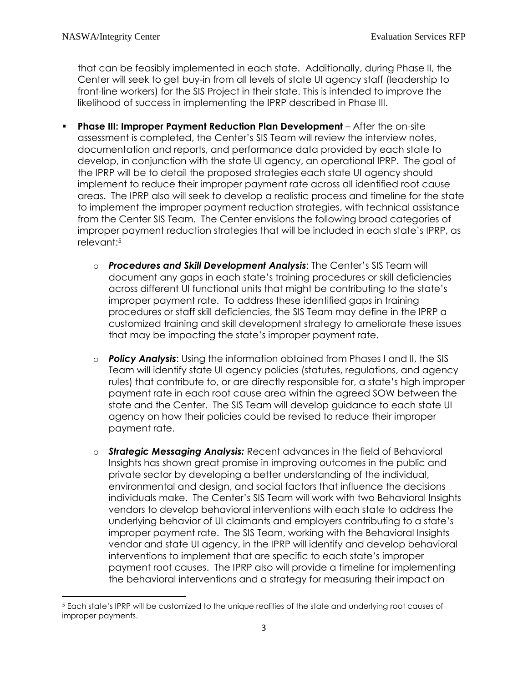that can be feasibly implemented in each state. Additionally, during Phase II, the Center will seek to get buy-in from all levels of state UI agency staff (leadership to front-line workers) for the SIS Project in their state. This is intended to improve the likelihood of success in implementing the IPRP described in Phase III.

- **Phase III: Improper Payment Reduction Plan Development** After the on-site assessment is completed, the Center's SIS Team will review the interview notes, documentation and reports, and performance data provided by each state to develop, in conjunction with the state UI agency, an operational IPRP. The goal of the IPRP will be to detail the proposed strategies each state UI agency should implement to reduce their improper payment rate across all identified root cause areas. The IPRP also will seek to develop a realistic process and timeline for the state to implement the improper payment reduction strategies, with technical assistance from the Center SIS Team. The Center envisions the following broad categories of improper payment reduction strategies that will be included in each state's IPRP, as relevant: 5
	- o *Procedures and Skill Development Analysis*: The Center's SIS Team will document any gaps in each state's training procedures or skill deficiencies across different UI functional units that might be contributing to the state's improper payment rate. To address these identified gaps in training procedures or staff skill deficiencies, the SIS Team may define in the IPRP a customized training and skill development strategy to ameliorate these issues that may be impacting the state's improper payment rate.
	- o *Policy Analysis*: Using the information obtained from Phases I and II, the SIS Team will identify state UI agency policies (statutes, regulations, and agency rules) that contribute to, or are directly responsible for, a state's high improper payment rate in each root cause area within the agreed SOW between the state and the Center. The SIS Team will develop guidance to each state UI agency on how their policies could be revised to reduce their improper payment rate.
	- o *Strategic Messaging Analysis:* Recent advances in the field of Behavioral Insights has shown great promise in improving outcomes in the public and private sector by developing a better understanding of the individual, environmental and design, and social factors that influence the decisions individuals make. The Center's SIS Team will work with two Behavioral Insights vendors to develop behavioral interventions with each state to address the underlying behavior of UI claimants and employers contributing to a state's improper payment rate. The SIS Team, working with the Behavioral Insights vendor and state UI agency, in the IPRP will identify and develop behavioral interventions to implement that are specific to each state's improper payment root causes. The IPRP also will provide a timeline for implementing the behavioral interventions and a strategy for measuring their impact on

 $\overline{\phantom{a}}$ <sup>5</sup> Each state's IPRP will be customized to the unique realities of the state and underlying root causes of improper payments.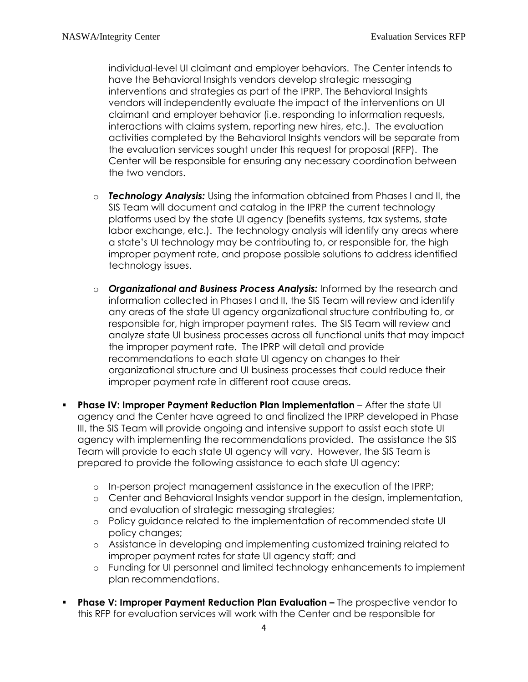individual-level UI claimant and employer behaviors. The Center intends to have the Behavioral Insights vendors develop strategic messaging interventions and strategies as part of the IPRP. The Behavioral Insights vendors will independently evaluate the impact of the interventions on UI claimant and employer behavior (i.e. responding to information requests, interactions with claims system, reporting new hires, etc.). The evaluation activities completed by the Behavioral Insights vendors will be separate from the evaluation services sought under this request for proposal (RFP). The Center will be responsible for ensuring any necessary coordination between the two vendors.

- o *Technology Analysis:* Using the information obtained from Phases I and II, the SIS Team will document and catalog in the IPRP the current technology platforms used by the state UI agency (benefits systems, tax systems, state labor exchange, etc.). The technology analysis will identify any areas where a state's UI technology may be contributing to, or responsible for, the high improper payment rate, and propose possible solutions to address identified technology issues.
- o *Organizational and Business Process Analysis:* Informed by the research and information collected in Phases I and II, the SIS Team will review and identify any areas of the state UI agency organizational structure contributing to, or responsible for, high improper payment rates. The SIS Team will review and analyze state UI business processes across all functional units that may impact the improper payment rate. The IPRP will detail and provide recommendations to each state UI agency on changes to their organizational structure and UI business processes that could reduce their improper payment rate in different root cause areas.
- **Phase IV: Improper Payment Reduction Plan Implementation** After the state UI agency and the Center have agreed to and finalized the IPRP developed in Phase III, the SIS Team will provide ongoing and intensive support to assist each state UI agency with implementing the recommendations provided. The assistance the SIS Team will provide to each state UI agency will vary. However, the SIS Team is prepared to provide the following assistance to each state UI agency:
	- o In-person project management assistance in the execution of the IPRP;
	- o Center and Behavioral Insights vendor support in the design, implementation, and evaluation of strategic messaging strategies;
	- o Policy guidance related to the implementation of recommended state UI policy changes;
	- o Assistance in developing and implementing customized training related to improper payment rates for state UI agency staff; and
	- o Funding for UI personnel and limited technology enhancements to implement plan recommendations.
- **Phase V: Improper Payment Reduction Plan Evaluation –** The prospective vendor to this RFP for evaluation services will work with the Center and be responsible for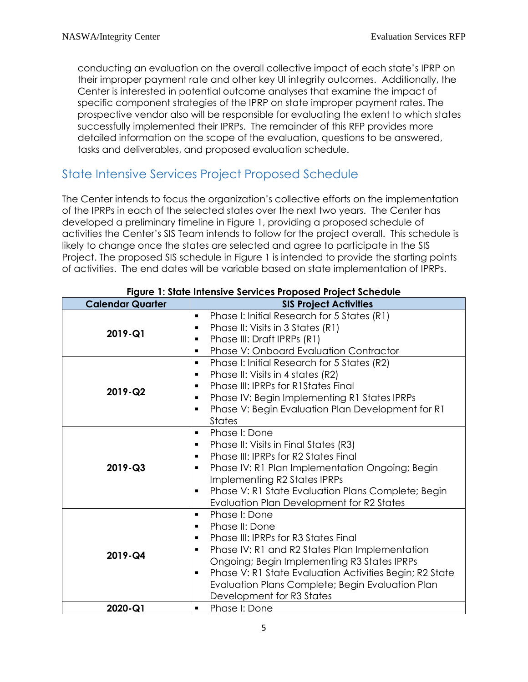conducting an evaluation on the overall collective impact of each state's IPRP on their improper payment rate and other key UI integrity outcomes. Additionally, the Center is interested in potential outcome analyses that examine the impact of specific component strategies of the IPRP on state improper payment rates. The prospective vendor also will be responsible for evaluating the extent to which states successfully implemented their IPRPs. The remainder of this RFP provides more detailed information on the scope of the evaluation, questions to be answered, tasks and deliverables, and proposed evaluation schedule.

### State Intensive Services Project Proposed Schedule

The Center intends to focus the organization's collective efforts on the implementation of the IPRPs in each of the selected states over the next two years. The Center has developed a preliminary timeline in Figure 1, providing a proposed schedule of activities the Center's SIS Team intends to follow for the project overall. This schedule is likely to change once the states are selected and agree to participate in the SIS Project. The proposed SIS schedule in Figure 1 is intended to provide the starting points of activities. The end dates will be variable based on state implementation of IPRPs.

| Figure 1: State Intensive Services Proposed Project Schedule |                                                                                                                                                                                                                                                                                                                                                                                      |  |
|--------------------------------------------------------------|--------------------------------------------------------------------------------------------------------------------------------------------------------------------------------------------------------------------------------------------------------------------------------------------------------------------------------------------------------------------------------------|--|
| <b>Calendar Quarter</b>                                      | <b>SIS Project Activities</b>                                                                                                                                                                                                                                                                                                                                                        |  |
| 2019-Q1                                                      | Phase I: Initial Research for 5 States (R1)<br>$\blacksquare$<br>Phase II: Visits in 3 States (R1)<br>٠<br>Phase III: Draft IPRPs (R1)<br><b>Phase V: Onboard Evaluation Contractor</b><br>$\blacksquare$                                                                                                                                                                            |  |
| 2019-Q2                                                      | Phase I: Initial Research for 5 States (R2)<br>$\blacksquare$<br>Phase II: Visits in 4 states (R2)<br>$\blacksquare$<br><b>Phase III: IPRPs for R1States Final</b><br>$\blacksquare$<br>Phase IV: Begin Implementing R1 States IPRPs<br>٠<br>Phase V: Begin Evaluation Plan Development for R1<br>$\blacksquare$<br><b>States</b>                                                    |  |
| 2019-Q3                                                      | Phase I: Done<br>$\blacksquare$<br>Phase II: Visits in Final States (R3)<br>٠<br>Phase III: IPRPs for R2 States Final<br>$\blacksquare$<br>Phase IV: R1 Plan Implementation Ongoing; Begin<br>Implementing R2 States IPRPs<br>Phase V: R1 State Evaluation Plans Complete; Begin<br>$\blacksquare$<br>Evaluation Plan Development for R2 States                                      |  |
| 2019-Q4                                                      | Phase I: Done<br>$\blacksquare$<br>Phase II: Done<br>٠<br>Phase III: IPRPs for R3 States Final<br>$\blacksquare$<br>Phase IV: R1 and R2 States Plan Implementation<br>٠<br>Ongoing; Begin Implementing R3 States IPRPs<br>Phase V: R1 State Evaluation Activities Begin; R2 State<br>$\blacksquare$<br>Evaluation Plans Complete; Begin Evaluation Plan<br>Development for R3 States |  |
| 2020-Q1                                                      | Phase I: Done<br>٠                                                                                                                                                                                                                                                                                                                                                                   |  |

#### **Figure 1: State Intensive Services Proposed Project Schedule**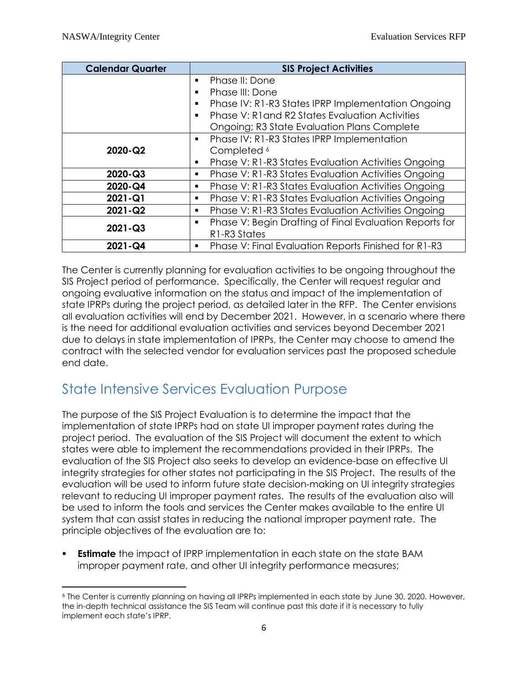| <b>Calendar Quarter</b> | <b>SIS Project Activities</b>                                |  |
|-------------------------|--------------------------------------------------------------|--|
|                         | Phase II: Done                                               |  |
|                         | Phase III: Done<br>■                                         |  |
|                         | Phase IV: R1-R3 States IPRP Implementation Ongoing<br>٠      |  |
|                         | Phase V: R1 and R2 States Evaluation Activities              |  |
|                         | <b>Ongoing; R3 State Evaluation Plans Complete</b>           |  |
|                         | Phase IV: R1-R3 States IPRP Implementation<br>٠              |  |
| 2020-Q2                 | Completed <sup>6</sup>                                       |  |
|                         | Phase V: R1-R3 States Evaluation Activities Ongoing<br>٠     |  |
| 2020-Q3                 | Phase V: R1-R3 States Evaluation Activities Ongoing<br>٠     |  |
| 2020-Q4                 | Phase V: R1-R3 States Evaluation Activities Ongoing<br>٠     |  |
| $2021 - Q1$             | Phase V: R1-R3 States Evaluation Activities Ongoing<br>٠     |  |
| $2021 - Q2$             | Phase V: R1-R3 States Evaluation Activities Ongoing<br>٠     |  |
|                         | Phase V: Begin Drafting of Final Evaluation Reports for<br>■ |  |
| $2021 - Q3$             | R1-R3 States                                                 |  |
| $2021 - Q4$             | Phase V: Final Evaluation Reports Finished for R1-R3<br>٠    |  |

The Center is currently planning for evaluation activities to be ongoing throughout the SIS Project period of performance. Specifically, the Center will request regular and ongoing evaluative information on the status and impact of the implementation of state IPRPs during the project period, as detailed later in the RFP. The Center envisions all evaluation activities will end by December 2021. However, in a scenario where there is the need for additional evaluation activities and services beyond December 2021 due to delays in state implementation of IPRPs, the Center may choose to amend the contract with the selected vendor for evaluation services past the proposed schedule end date.

### <span id="page-7-0"></span>State Intensive Services Evaluation Purpose

The purpose of the SIS Project Evaluation is to determine the impact that the implementation of state IPRPs had on state UI improper payment rates during the project period. The evaluation of the SIS Project will document the extent to which states were able to implement the recommendations provided in their IPRPs. The evaluation of the SIS Project also seeks to develop an evidence-base on effective UI integrity strategies for other states not participating in the SIS Project. The results of the evaluation will be used to inform future state decision-making on UI integrity strategies relevant to reducing UI improper payment rates. The results of the evaluation also will be used to inform the tools and services the Center makes available to the entire UI system that can assist states in reducing the national improper payment rate. The principle objectives of the evaluation are to:

**Estimate** the impact of IPRP implementation in each state on the state BAM improper payment rate, and other UI integrity performance measures;

l <sup>6</sup> The Center is currently planning on having all IPRPs implemented in each state by June 30, 2020. However, the in-depth technical assistance the SIS Team will continue past this date if it is necessary to fully implement each state's IPRP.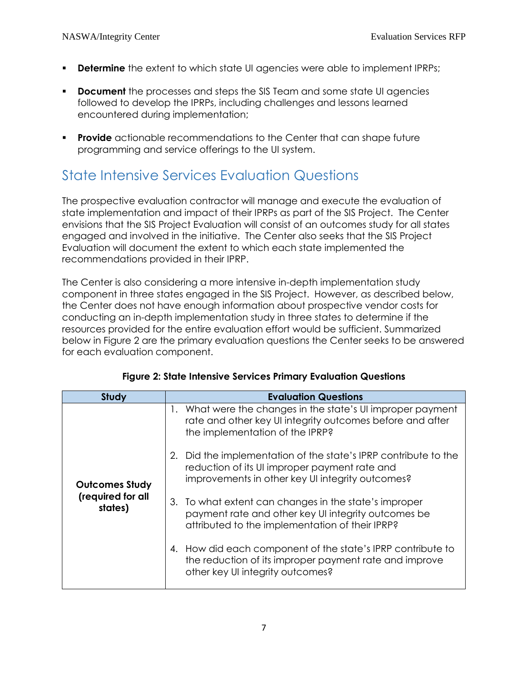- **Determine** the extent to which state UI agencies were able to implement IPRPs;
- **Document** the processes and steps the SIS Team and some state UI agencies followed to develop the IPRPs, including challenges and lessons learned encountered during implementation;
- **Provide** actionable recommendations to the Center that can shape future programming and service offerings to the UI system.

# <span id="page-8-0"></span>State Intensive Services Evaluation Questions

The prospective evaluation contractor will manage and execute the evaluation of state implementation and impact of their IPRPs as part of the SIS Project. The Center envisions that the SIS Project Evaluation will consist of an outcomes study for all states engaged and involved in the initiative. The Center also seeks that the SIS Project Evaluation will document the extent to which each state implemented the recommendations provided in their IPRP.

The Center is also considering a more intensive in-depth implementation study component in three states engaged in the SIS Project. However, as described below, the Center does not have enough information about prospective vendor costs for conducting an in-depth implementation study in three states to determine if the resources provided for the entire evaluation effort would be sufficient. Summarized below in Figure 2 are the primary evaluation questions the Center seeks to be answered for each evaluation component.

| <b>Study</b>                 | <b>Evaluation Questions</b>                                                                                                                                          |  |  |
|------------------------------|----------------------------------------------------------------------------------------------------------------------------------------------------------------------|--|--|
|                              | 1. What were the changes in the state's UI improper payment<br>rate and other key UI integrity outcomes before and after<br>the implementation of the IPRP?          |  |  |
| <b>Outcomes Study</b>        | 2. Did the implementation of the state's IPRP contribute to the<br>reduction of its UI improper payment rate and<br>improvements in other key UI integrity outcomes? |  |  |
| (required for all<br>states) | 3. To what extent can changes in the state's improper<br>payment rate and other key UI integrity outcomes be<br>attributed to the implementation of their IPRP?      |  |  |
|                              | 4. How did each component of the state's IPRP contribute to<br>the reduction of its improper payment rate and improve<br>other key UI integrity outcomes?            |  |  |

#### **Figure 2: State Intensive Services Primary Evaluation Questions**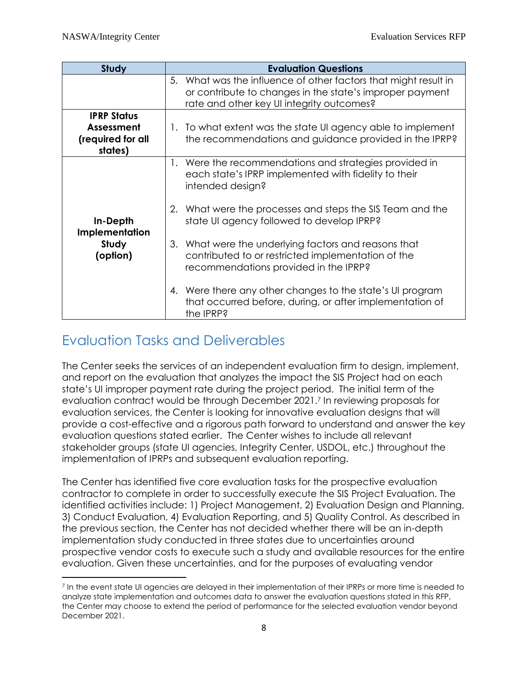| <b>Study</b>                                                            | <b>Evaluation Questions</b>                                                                                                                                              |
|-------------------------------------------------------------------------|--------------------------------------------------------------------------------------------------------------------------------------------------------------------------|
|                                                                         | 5. What was the influence of other factors that might result in<br>or contribute to changes in the state's improper payment<br>rate and other key UI integrity outcomes? |
| <b>IPRP Status</b><br><b>Assessment</b><br>(required for all<br>states) | 1. To what extent was the state UI agency able to implement<br>the recommendations and guidance provided in the IPRP?                                                    |
|                                                                         | 1. Were the recommendations and strategies provided in<br>each state's IPRP implemented with fidelity to their<br>intended design?                                       |
| In-Depth<br>Implementation                                              | 2. What were the processes and steps the SIS Team and the<br>state UI agency followed to develop IPRP?                                                                   |
| Study<br>(option)                                                       | 3. What were the underlying factors and reasons that<br>contributed to or restricted implementation of the<br>recommendations provided in the IPRP?                      |
|                                                                         | 4. Were there any other changes to the state's UI program<br>that occurred before, during, or after implementation of<br>the IPRP?                                       |

### <span id="page-9-0"></span>Evaluation Tasks and Deliverables

The Center seeks the services of an independent evaluation firm to design, implement, and report on the evaluation that analyzes the impact the SIS Project had on each state's UI improper payment rate during the project period. The initial term of the evaluation contract would be through December 2021.<sup>7</sup> In reviewing proposals for evaluation services, the Center is looking for innovative evaluation designs that will provide a cost-effective and a rigorous path forward to understand and answer the key evaluation questions stated earlier. The Center wishes to include all relevant stakeholder groups (state UI agencies, Integrity Center, USDOL, etc.) throughout the implementation of IPRPs and subsequent evaluation reporting.

The Center has identified five core evaluation tasks for the prospective evaluation contractor to complete in order to successfully execute the SIS Project Evaluation. The identified activities include: 1) Project Management, 2) Evaluation Design and Planning, 3) Conduct Evaluation, 4) Evaluation Reporting, and 5) Quality Control. As described in the previous section, the Center has not decided whether there will be an in-depth implementation study conducted in three states due to uncertainties around prospective vendor costs to execute such a study and available resources for the entire evaluation. Given these uncertainties, and for the purposes of evaluating vendor

 $\overline{\phantom{a}}$ <sup>7</sup> In the event state UI agencies are delayed in their implementation of their IPRPs or more time is needed to analyze state implementation and outcomes data to answer the evaluation questions stated in this RFP, the Center may choose to extend the period of performance for the selected evaluation vendor beyond December 2021.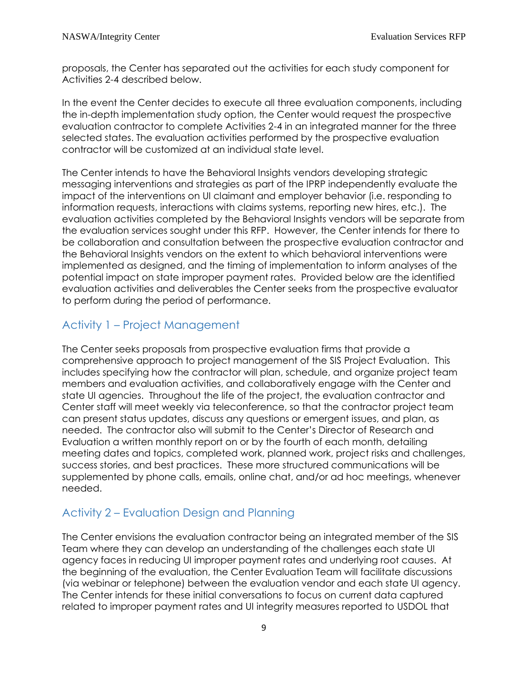proposals, the Center has separated out the activities for each study component for Activities 2-4 described below.

In the event the Center decides to execute all three evaluation components, including the in-depth implementation study option, the Center would request the prospective evaluation contractor to complete Activities 2-4 in an integrated manner for the three selected states. The evaluation activities performed by the prospective evaluation contractor will be customized at an individual state level.

The Center intends to have the Behavioral Insights vendors developing strategic messaging interventions and strategies as part of the IPRP independently evaluate the impact of the interventions on UI claimant and employer behavior (i.e. responding to information requests, interactions with claims systems, reporting new hires, etc.). The evaluation activities completed by the Behavioral Insights vendors will be separate from the evaluation services sought under this RFP. However, the Center intends for there to be collaboration and consultation between the prospective evaluation contractor and the Behavioral Insights vendors on the extent to which behavioral interventions were implemented as designed, and the timing of implementation to inform analyses of the potential impact on state improper payment rates. Provided below are the identified evaluation activities and deliverables the Center seeks from the prospective evaluator to perform during the period of performance.

#### Activity 1 – Project Management

The Center seeks proposals from prospective evaluation firms that provide a comprehensive approach to project management of the SIS Project Evaluation. This includes specifying how the contractor will plan, schedule, and organize project team members and evaluation activities, and collaboratively engage with the Center and state UI agencies. Throughout the life of the project, the evaluation contractor and Center staff will meet weekly via teleconference, so that the contractor project team can present status updates, discuss any questions or emergent issues, and plan, as needed. The contractor also will submit to the Center's Director of Research and Evaluation a written monthly report on or by the fourth of each month, detailing meeting dates and topics, completed work, planned work, project risks and challenges, success stories, and best practices. These more structured communications will be supplemented by phone calls, emails, online chat, and/or ad hoc meetings, whenever needed.

### Activity 2 – Evaluation Design and Planning

The Center envisions the evaluation contractor being an integrated member of the SIS Team where they can develop an understanding of the challenges each state UI agency faces in reducing UI improper payment rates and underlying root causes. At the beginning of the evaluation, the Center Evaluation Team will facilitate discussions (via webinar or telephone) between the evaluation vendor and each state UI agency. The Center intends for these initial conversations to focus on current data captured related to improper payment rates and UI integrity measures reported to USDOL that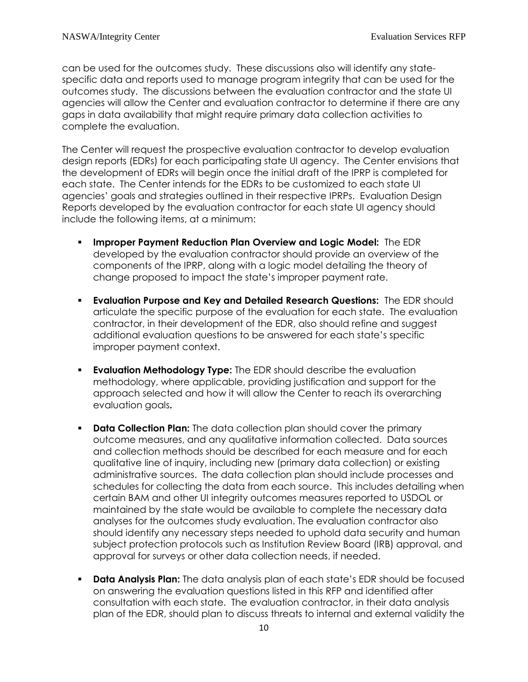can be used for the outcomes study. These discussions also will identify any statespecific data and reports used to manage program integrity that can be used for the outcomes study. The discussions between the evaluation contractor and the state UI agencies will allow the Center and evaluation contractor to determine if there are any gaps in data availability that might require primary data collection activities to complete the evaluation.

The Center will request the prospective evaluation contractor to develop evaluation design reports (EDRs) for each participating state UI agency. The Center envisions that the development of EDRs will begin once the initial draft of the IPRP is completed for each state. The Center intends for the EDRs to be customized to each state UI agencies' goals and strategies outlined in their respective IPRPs. Evaluation Design Reports developed by the evaluation contractor for each state UI agency should include the following items, at a minimum:

- **Improper Payment Reduction Plan Overview and Logic Model:** The EDR developed by the evaluation contractor should provide an overview of the components of the IPRP, along with a logic model detailing the theory of change proposed to impact the state's improper payment rate.
- **Evaluation Purpose and Key and Detailed Research Questions:** The EDR should articulate the specific purpose of the evaluation for each state. The evaluation contractor, in their development of the EDR, also should refine and suggest additional evaluation questions to be answered for each state's specific improper payment context.
- **Evaluation Methodology Type:** The EDR should describe the evaluation methodology, where applicable, providing justification and support for the approach selected and how it will allow the Center to reach its overarching evaluation goals**.**
- **Data Collection Plan:** The data collection plan should cover the primary outcome measures, and any qualitative information collected. Data sources and collection methods should be described for each measure and for each qualitative line of inquiry, including new (primary data collection) or existing administrative sources. The data collection plan should include processes and schedules for collecting the data from each source. This includes detailing when certain BAM and other UI integrity outcomes measures reported to USDOL or maintained by the state would be available to complete the necessary data analyses for the outcomes study evaluation. The evaluation contractor also should identify any necessary steps needed to uphold data security and human subject protection protocols such as Institution Review Board (IRB) approval, and approval for surveys or other data collection needs, if needed.
- **Data Analysis Plan:** The data analysis plan of each state's EDR should be focused on answering the evaluation questions listed in this RFP and identified after consultation with each state. The evaluation contractor, in their data analysis plan of the EDR, should plan to discuss threats to internal and external validity the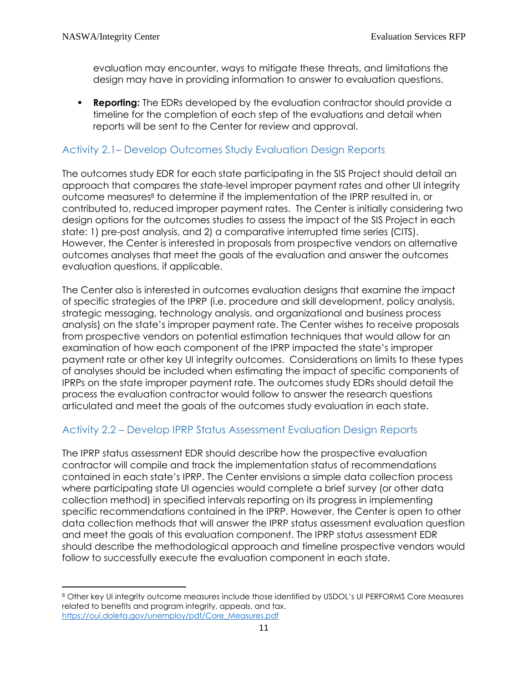l

evaluation may encounter, ways to mitigate these threats, and limitations the design may have in providing information to answer to evaluation questions.

**Reporting:** The EDRs developed by the evaluation contractor should provide a timeline for the completion of each step of the evaluations and detail when reports will be sent to the Center for review and approval.

#### Activity 2.1– Develop Outcomes Study Evaluation Design Reports

The outcomes study EDR for each state participating in the SIS Project should detail an approach that compares the state-level improper payment rates and other UI integrity outcome measures<sup>8</sup> to determine if the implementation of the IPRP resulted in, or contributed to, reduced improper payment rates. The Center is initially considering two design options for the outcomes studies to assess the impact of the SIS Project in each state: 1) pre-post analysis, and 2) a comparative interrupted time series (CITS). However, the Center is interested in proposals from prospective vendors on alternative outcomes analyses that meet the goals of the evaluation and answer the outcomes evaluation questions, if applicable.

The Center also is interested in outcomes evaluation designs that examine the impact of specific strategies of the IPRP (i.e. procedure and skill development, policy analysis, strategic messaging, technology analysis, and organizational and business process analysis) on the state's improper payment rate. The Center wishes to receive proposals from prospective vendors on potential estimation techniques that would allow for an examination of how each component of the IPRP impacted the state's improper payment rate or other key UI integrity outcomes. Considerations on limits to these types of analyses should be included when estimating the impact of specific components of IPRPs on the state improper payment rate. The outcomes study EDRs should detail the process the evaluation contractor would follow to answer the research questions articulated and meet the goals of the outcomes study evaluation in each state.

#### Activity 2.2 – Develop IPRP Status Assessment Evaluation Design Reports

The IPRP status assessment EDR should describe how the prospective evaluation contractor will compile and track the implementation status of recommendations contained in each state's IPRP. The Center envisions a simple data collection process where participating state UI agencies would complete a brief survey (or other data collection method) in specified intervals reporting on its progress in implementing specific recommendations contained in the IPRP. However, the Center is open to other data collection methods that will answer the IPRP status assessment evaluation question and meet the goals of this evaluation component. The IPRP status assessment EDR should describe the methodological approach and timeline prospective vendors would follow to successfully execute the evaluation component in each state.

<sup>8</sup> Other key UI integrity outcome measures include those identified by USDOL's UI PERFORMS Core Measures related to benefits and program integrity, appeals, and tax. [https://oui.doleta.gov/unemploy/pdf/Core\\_Measures.pdf](https://oui.doleta.gov/unemploy/pdf/Core_Measures.pdf)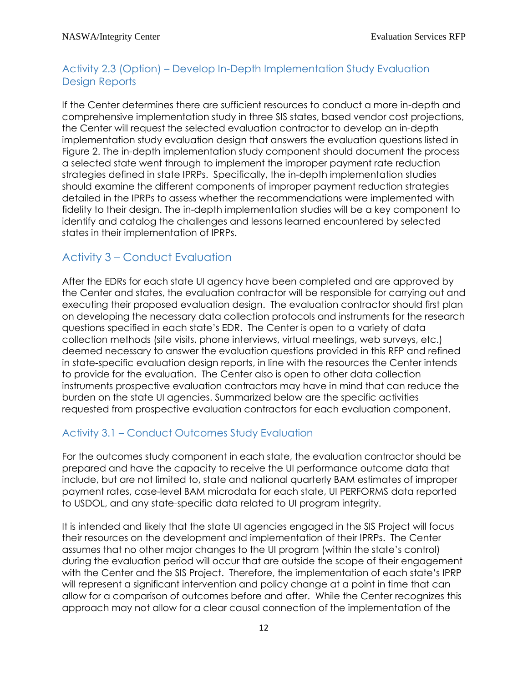#### Activity 2.3 (Option) – Develop In-Depth Implementation Study Evaluation Design Reports

If the Center determines there are sufficient resources to conduct a more in-depth and comprehensive implementation study in three SIS states, based vendor cost projections, the Center will request the selected evaluation contractor to develop an in-depth implementation study evaluation design that answers the evaluation questions listed in Figure 2. The in-depth implementation study component should document the process a selected state went through to implement the improper payment rate reduction strategies defined in state IPRPs. Specifically, the in-depth implementation studies should examine the different components of improper payment reduction strategies detailed in the IPRPs to assess whether the recommendations were implemented with fidelity to their design. The in-depth implementation studies will be a key component to identify and catalog the challenges and lessons learned encountered by selected states in their implementation of IPRPs.

#### Activity 3 – Conduct Evaluation

After the EDRs for each state UI agency have been completed and are approved by the Center and states, the evaluation contractor will be responsible for carrying out and executing their proposed evaluation design. The evaluation contractor should first plan on developing the necessary data collection protocols and instruments for the research questions specified in each state's EDR. The Center is open to a variety of data collection methods (site visits, phone interviews, virtual meetings, web surveys, etc.) deemed necessary to answer the evaluation questions provided in this RFP and refined in state-specific evaluation design reports, in line with the resources the Center intends to provide for the evaluation. The Center also is open to other data collection instruments prospective evaluation contractors may have in mind that can reduce the burden on the state UI agencies. Summarized below are the specific activities requested from prospective evaluation contractors for each evaluation component.

#### Activity 3.1 – Conduct Outcomes Study Evaluation

For the outcomes study component in each state, the evaluation contractor should be prepared and have the capacity to receive the UI performance outcome data that include, but are not limited to, state and national quarterly BAM estimates of improper payment rates, case-level BAM microdata for each state, UI PERFORMS data reported to USDOL, and any state-specific data related to UI program integrity.

It is intended and likely that the state UI agencies engaged in the SIS Project will focus their resources on the development and implementation of their IPRPs. The Center assumes that no other major changes to the UI program (within the state's control) during the evaluation period will occur that are outside the scope of their engagement with the Center and the SIS Project. Therefore, the implementation of each state's IPRP will represent a significant intervention and policy change at a point in time that can allow for a comparison of outcomes before and after. While the Center recognizes this approach may not allow for a clear causal connection of the implementation of the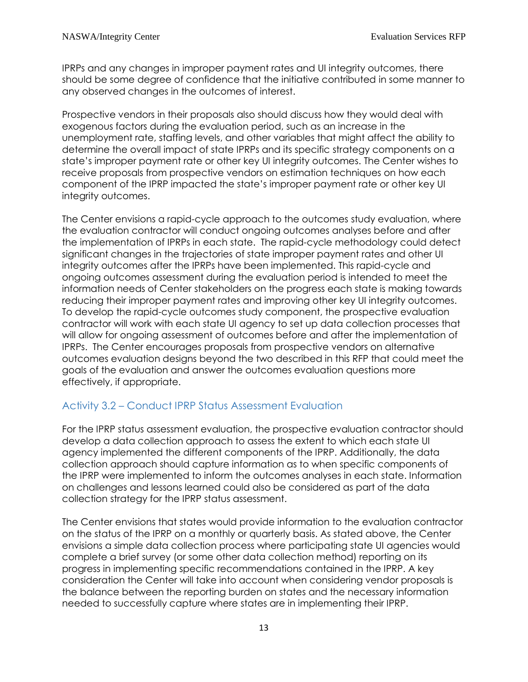IPRPs and any changes in improper payment rates and UI integrity outcomes, there should be some degree of confidence that the initiative contributed in some manner to any observed changes in the outcomes of interest.

Prospective vendors in their proposals also should discuss how they would deal with exogenous factors during the evaluation period, such as an increase in the unemployment rate, staffing levels, and other variables that might affect the ability to determine the overall impact of state IPRPs and its specific strategy components on a state's improper payment rate or other key UI integrity outcomes. The Center wishes to receive proposals from prospective vendors on estimation techniques on how each component of the IPRP impacted the state's improper payment rate or other key UI integrity outcomes.

The Center envisions a rapid-cycle approach to the outcomes study evaluation, where the evaluation contractor will conduct ongoing outcomes analyses before and after the implementation of IPRPs in each state. The rapid-cycle methodology could detect significant changes in the trajectories of state improper payment rates and other UI integrity outcomes after the IPRPs have been implemented. This rapid-cycle and ongoing outcomes assessment during the evaluation period is intended to meet the information needs of Center stakeholders on the progress each state is making towards reducing their improper payment rates and improving other key UI integrity outcomes. To develop the rapid-cycle outcomes study component, the prospective evaluation contractor will work with each state UI agency to set up data collection processes that will allow for ongoing assessment of outcomes before and after the implementation of IPRPs. The Center encourages proposals from prospective vendors on alternative outcomes evaluation designs beyond the two described in this RFP that could meet the goals of the evaluation and answer the outcomes evaluation questions more effectively, if appropriate.

#### Activity 3.2 – Conduct IPRP Status Assessment Evaluation

For the IPRP status assessment evaluation, the prospective evaluation contractor should develop a data collection approach to assess the extent to which each state UI agency implemented the different components of the IPRP. Additionally, the data collection approach should capture information as to when specific components of the IPRP were implemented to inform the outcomes analyses in each state. Information on challenges and lessons learned could also be considered as part of the data collection strategy for the IPRP status assessment.

The Center envisions that states would provide information to the evaluation contractor on the status of the IPRP on a monthly or quarterly basis. As stated above, the Center envisions a simple data collection process where participating state UI agencies would complete a brief survey (or some other data collection method) reporting on its progress in implementing specific recommendations contained in the IPRP. A key consideration the Center will take into account when considering vendor proposals is the balance between the reporting burden on states and the necessary information needed to successfully capture where states are in implementing their IPRP.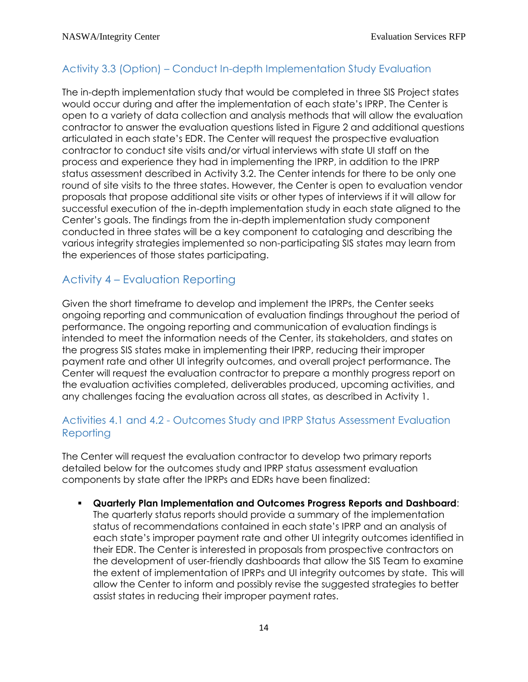#### Activity 3.3 (Option) – Conduct In-depth Implementation Study Evaluation

The in-depth implementation study that would be completed in three SIS Project states would occur during and after the implementation of each state's IPRP. The Center is open to a variety of data collection and analysis methods that will allow the evaluation contractor to answer the evaluation questions listed in Figure 2 and additional questions articulated in each state's EDR. The Center will request the prospective evaluation contractor to conduct site visits and/or virtual interviews with state UI staff on the process and experience they had in implementing the IPRP, in addition to the IPRP status assessment described in Activity 3.2. The Center intends for there to be only one round of site visits to the three states. However, the Center is open to evaluation vendor proposals that propose additional site visits or other types of interviews if it will allow for successful execution of the in-depth implementation study in each state aligned to the Center's goals. The findings from the in-depth implementation study component conducted in three states will be a key component to cataloging and describing the various integrity strategies implemented so non-participating SIS states may learn from the experiences of those states participating.

### Activity 4 – Evaluation Reporting

Given the short timeframe to develop and implement the IPRPs, the Center seeks ongoing reporting and communication of evaluation findings throughout the period of performance. The ongoing reporting and communication of evaluation findings is intended to meet the information needs of the Center, its stakeholders, and states on the progress SIS states make in implementing their IPRP, reducing their improper payment rate and other UI integrity outcomes, and overall project performance. The Center will request the evaluation contractor to prepare a monthly progress report on the evaluation activities completed, deliverables produced, upcoming activities, and any challenges facing the evaluation across all states, as described in Activity 1.

#### Activities 4.1 and 4.2 - Outcomes Study and IPRP Status Assessment Evaluation **Reporting**

The Center will request the evaluation contractor to develop two primary reports detailed below for the outcomes study and IPRP status assessment evaluation components by state after the IPRPs and EDRs have been finalized:

▪ **Quarterly Plan Implementation and Outcomes Progress Reports and Dashboard**: The quarterly status reports should provide a summary of the implementation status of recommendations contained in each state's IPRP and an analysis of each state's improper payment rate and other UI integrity outcomes identified in their EDR. The Center is interested in proposals from prospective contractors on the development of user-friendly dashboards that allow the SIS Team to examine the extent of implementation of IPRPs and UI integrity outcomes by state. This will allow the Center to inform and possibly revise the suggested strategies to better assist states in reducing their improper payment rates.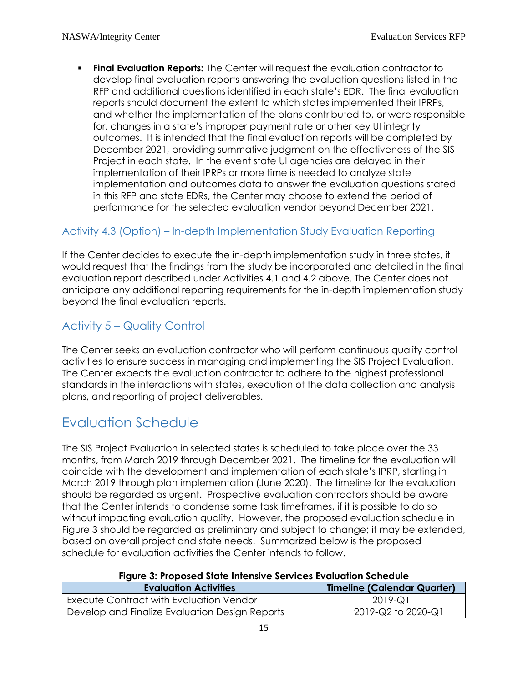**• Final Evaluation Reports:** The Center will request the evaluation contractor to develop final evaluation reports answering the evaluation questions listed in the RFP and additional questions identified in each state's EDR. The final evaluation reports should document the extent to which states implemented their IPRPs, and whether the implementation of the plans contributed to, or were responsible for, changes in a state's improper payment rate or other key UI integrity outcomes. It is intended that the final evaluation reports will be completed by December 2021, providing summative judgment on the effectiveness of the SIS Project in each state. In the event state UI agencies are delayed in their implementation of their IPRPs or more time is needed to analyze state implementation and outcomes data to answer the evaluation questions stated in this RFP and state EDRs, the Center may choose to extend the period of performance for the selected evaluation vendor beyond December 2021.

### Activity 4.3 (Option) – In-depth Implementation Study Evaluation Reporting

If the Center decides to execute the in-depth implementation study in three states, it would request that the findings from the study be incorporated and detailed in the final evaluation report described under Activities 4.1 and 4.2 above. The Center does not anticipate any additional reporting requirements for the in-depth implementation study beyond the final evaluation reports.

### Activity 5 – Quality Control

The Center seeks an evaluation contractor who will perform continuous quality control activities to ensure success in managing and implementing the SIS Project Evaluation. The Center expects the evaluation contractor to adhere to the highest professional standards in the interactions with states, execution of the data collection and analysis plans, and reporting of project deliverables.

### <span id="page-16-0"></span>Evaluation Schedule

The SIS Project Evaluation in selected states is scheduled to take place over the 33 months, from March 2019 through December 2021. The timeline for the evaluation will coincide with the development and implementation of each state's IPRP, starting in March 2019 through plan implementation (June 2020). The timeline for the evaluation should be regarded as urgent. Prospective evaluation contractors should be aware that the Center intends to condense some task timeframes, if it is possible to do so without impacting evaluation quality. However, the proposed evaluation schedule in Figure 3 should be regarded as preliminary and subject to change; it may be extended, based on overall project and state needs. Summarized below is the proposed schedule for evaluation activities the Center intends to follow.

#### **Figure 3: Proposed State Intensive Services Evaluation Schedule**

| <b>Evaluation Activities</b>                   | <b>Timeline (Calendar Quarter)</b> |
|------------------------------------------------|------------------------------------|
| Execute Contract with Evaluation Vendor        | 2019-Q1                            |
| Develop and Finalize Evaluation Design Reports | 2019-Q2 to 2020-Q1                 |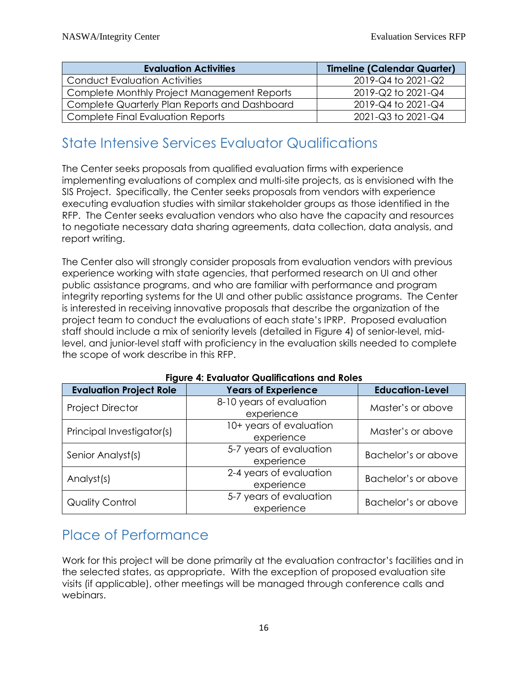| <b>Evaluation Activities</b>                  | <b>Timeline (Calendar Quarter)</b> |
|-----------------------------------------------|------------------------------------|
| <b>Conduct Evaluation Activities</b>          | 2019-Q4 to 2021-Q2                 |
| Complete Monthly Project Management Reports   | 2019-Q2 to 2021-Q4                 |
| Complete Quarterly Plan Reports and Dashboard | 2019-Q4 to 2021-Q4                 |
| <b>Complete Final Evaluation Reports</b>      | 2021-Q3 to 2021-Q4                 |

### <span id="page-17-0"></span>State Intensive Services Evaluator Qualifications

The Center seeks proposals from qualified evaluation firms with experience implementing evaluations of complex and multi-site projects, as is envisioned with the SIS Project. Specifically, the Center seeks proposals from vendors with experience executing evaluation studies with similar stakeholder groups as those identified in the RFP. The Center seeks evaluation vendors who also have the capacity and resources to negotiate necessary data sharing agreements, data collection, data analysis, and report writing.

The Center also will strongly consider proposals from evaluation vendors with previous experience working with state agencies, that performed research on UI and other public assistance programs, and who are familiar with performance and program integrity reporting systems for the UI and other public assistance programs. The Center is interested in receiving innovative proposals that describe the organization of the project team to conduct the evaluations of each state's IPRP. Proposed evaluation staff should include a mix of seniority levels (detailed in Figure 4) of senior-level, midlevel, and junior-level staff with proficiency in the evaluation skills needed to complete the scope of work describe in this RFP.

| <b>Evaluation Project Role</b>                           | <b>Years of Experience</b>             | <b>Education-Level</b> |  |
|----------------------------------------------------------|----------------------------------------|------------------------|--|
| <b>Project Director</b>                                  | 8-10 years of evaluation<br>experience | Master's or above      |  |
| Principal Investigator(s)                                | 10+ years of evaluation<br>experience  | Master's or above      |  |
| Senior Analyst(s)                                        | 5-7 years of evaluation<br>experience  | Bachelor's or above    |  |
| Analyst(s)                                               | 2-4 years of evaluation<br>experience  |                        |  |
| 5-7 years of evaluation<br>Quality Control<br>experience |                                        | Bachelor's or above    |  |

#### **Figure 4: Evaluator Qualifications and Roles**

### <span id="page-17-1"></span>Place of Performance

Work for this project will be done primarily at the evaluation contractor's facilities and in the selected states, as appropriate. With the exception of proposed evaluation site visits (if applicable), other meetings will be managed through conference calls and webinars.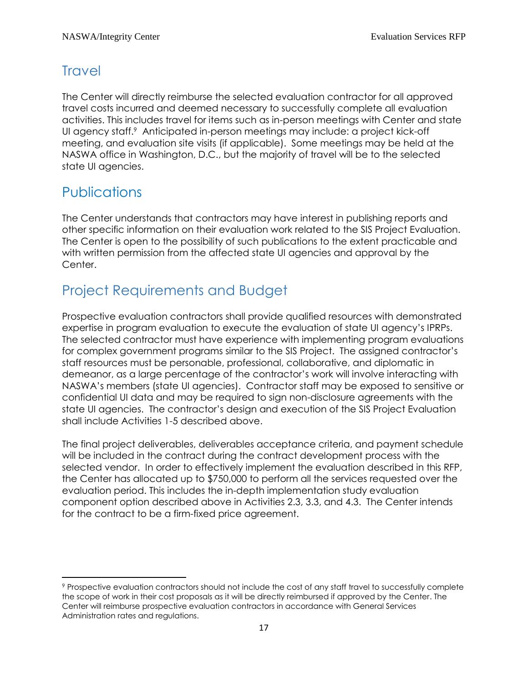### <span id="page-18-0"></span>**Travel**

The Center will directly reimburse the selected evaluation contractor for all approved travel costs incurred and deemed necessary to successfully complete all evaluation activities. This includes travel for items such as in-person meetings with Center and state UI agency staff.<sup>9</sup> Anticipated in-person meetings may include: a project kick-off meeting, and evaluation site visits (if applicable). Some meetings may be held at the NASWA office in Washington, D.C., but the majority of travel will be to the selected state UI agencies.

### **Publications**

The Center understands that contractors may have interest in publishing reports and other specific information on their evaluation work related to the SIS Project Evaluation. The Center is open to the possibility of such publications to the extent practicable and with written permission from the affected state UI agencies and approval by the Center.

# <span id="page-18-1"></span>Project Requirements and Budget

Prospective evaluation contractors shall provide qualified resources with demonstrated expertise in program evaluation to execute the evaluation of state UI agency's IPRPs. The selected contractor must have experience with implementing program evaluations for complex government programs similar to the SIS Project. The assigned contractor's staff resources must be personable, professional, collaborative, and diplomatic in demeanor, as a large percentage of the contractor's work will involve interacting with NASWA's members (state UI agencies). Contractor staff may be exposed to sensitive or confidential UI data and may be required to sign non-disclosure agreements with the state UI agencies. The contractor's design and execution of the SIS Project Evaluation shall include Activities 1-5 described above.

The final project deliverables, deliverables acceptance criteria, and payment schedule will be included in the contract during the contract development process with the selected vendor. In order to effectively implement the evaluation described in this RFP, the Center has allocated up to \$750,000 to perform all the services requested over the evaluation period. This includes the in-depth implementation study evaluation component option described above in Activities 2.3, 3.3, and 4.3. The Center intends for the contract to be a firm-fixed price agreement.

 $\overline{\phantom{a}}$ <sup>9</sup> Prospective evaluation contractors should not include the cost of any staff travel to successfully complete the scope of work in their cost proposals as it will be directly reimbursed if approved by the Center. The Center will reimburse prospective evaluation contractors in accordance with General Services Administration rates and regulations.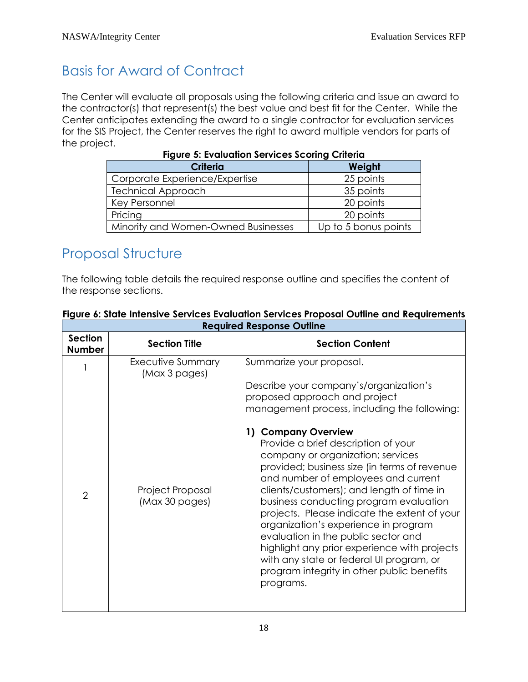# <span id="page-19-0"></span>Basis for Award of Contract

The Center will evaluate all proposals using the following criteria and issue an award to the contractor(s) that represent(s) the best value and best fit for the Center. While the Center anticipates extending the award to a single contractor for evaluation services for the SIS Project, the Center reserves the right to award multiple vendors for parts of the project.

| <b>Criteria</b>                     | Weight               |  |
|-------------------------------------|----------------------|--|
| Corporate Experience/Expertise      | 25 points            |  |
| <b>Technical Approach</b>           | 35 points            |  |
| Key Personnel                       | 20 points            |  |
| Pricing                             | 20 points            |  |
| Minority and Women-Owned Businesses | Up to 5 bonus points |  |

**Figure 5: Evaluation Services Scoring Criteria**

### <span id="page-19-1"></span>Proposal Structure

The following table details the required response outline and specifies the content of the response sections.

|                                 |                                    | Regonea Response Obilité                                                                                                                                                                                                                                                                                                                                                                                                                                                                                                                                                                                                                                                                       |
|---------------------------------|------------------------------------|------------------------------------------------------------------------------------------------------------------------------------------------------------------------------------------------------------------------------------------------------------------------------------------------------------------------------------------------------------------------------------------------------------------------------------------------------------------------------------------------------------------------------------------------------------------------------------------------------------------------------------------------------------------------------------------------|
| <b>Section</b><br><b>Number</b> | <b>Section Title</b>               | <b>Section Content</b>                                                                                                                                                                                                                                                                                                                                                                                                                                                                                                                                                                                                                                                                         |
|                                 | Executive Summary<br>(Max 3 pages) | Summarize your proposal.                                                                                                                                                                                                                                                                                                                                                                                                                                                                                                                                                                                                                                                                       |
| $\overline{2}$                  | Project Proposal<br>(Max 30 pages) | Describe your company's/organization's<br>proposed approach and project<br>management process, including the following:<br>1) Company Overview<br>Provide a brief description of your<br>company or organization; services<br>provided; business size (in terms of revenue<br>and number of employees and current<br>clients/customers); and length of time in<br>business conducting program evaluation<br>projects. Please indicate the extent of your<br>organization's experience in program<br>evaluation in the public sector and<br>highlight any prior experience with projects<br>with any state or federal UI program, or<br>program integrity in other public benefits<br>programs. |

#### **Figure 6: State Intensive Services Evaluation Services Proposal Outline and Requirements Required Response Outline**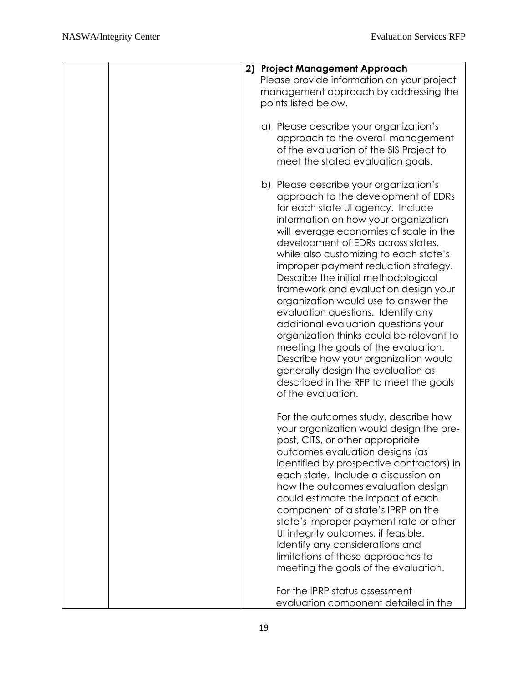| 2) Project Management Approach<br>Please provide information on your project                                                                                                                                                                                                                                                                                                                                                                                                                                                                                                                                                                                                                                                                                         |
|----------------------------------------------------------------------------------------------------------------------------------------------------------------------------------------------------------------------------------------------------------------------------------------------------------------------------------------------------------------------------------------------------------------------------------------------------------------------------------------------------------------------------------------------------------------------------------------------------------------------------------------------------------------------------------------------------------------------------------------------------------------------|
| management approach by addressing the<br>points listed below.                                                                                                                                                                                                                                                                                                                                                                                                                                                                                                                                                                                                                                                                                                        |
| a) Please describe your organization's<br>approach to the overall management<br>of the evaluation of the SIS Project to<br>meet the stated evaluation goals.                                                                                                                                                                                                                                                                                                                                                                                                                                                                                                                                                                                                         |
| b) Please describe your organization's<br>approach to the development of EDRs<br>for each state UI agency. Include<br>information on how your organization<br>will leverage economies of scale in the<br>development of EDRs across states,<br>while also customizing to each state's<br>improper payment reduction strategy.<br>Describe the initial methodological<br>framework and evaluation design your<br>organization would use to answer the<br>evaluation questions. Identify any<br>additional evaluation questions your<br>organization thinks could be relevant to<br>meeting the goals of the evaluation.<br>Describe how your organization would<br>generally design the evaluation as<br>described in the RFP to meet the goals<br>of the evaluation. |
| For the outcomes study, describe how<br>your organization would design the pre-<br>post, CITS, or other appropriate<br>outcomes evaluation designs (as<br>identified by prospective contractors) in<br>each state. Include a discussion on<br>how the outcomes evaluation design<br>could estimate the impact of each<br>component of a state's IPRP on the<br>state's improper payment rate or other<br>Ul integrity outcomes, if feasible.<br>Identify any considerations and<br>limitations of these approaches to<br>meeting the goals of the evaluation.                                                                                                                                                                                                        |
| For the IPRP status assessment<br>evaluation component detailed in the                                                                                                                                                                                                                                                                                                                                                                                                                                                                                                                                                                                                                                                                                               |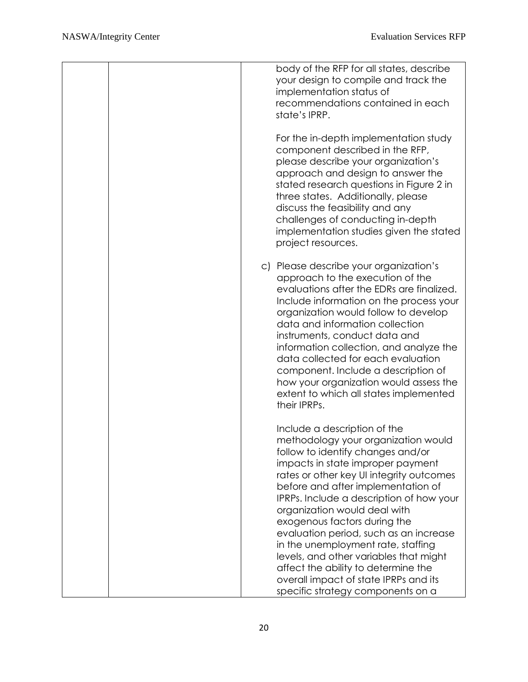| body of the RFP for all states, describe<br>your design to compile and track the<br>implementation status of<br>recommendations contained in each<br>state's IPRP.                                                                                                                                                                                                                                                                                                                                                                                                                         |
|--------------------------------------------------------------------------------------------------------------------------------------------------------------------------------------------------------------------------------------------------------------------------------------------------------------------------------------------------------------------------------------------------------------------------------------------------------------------------------------------------------------------------------------------------------------------------------------------|
| For the in-depth implementation study<br>component described in the RFP,<br>please describe your organization's<br>approach and design to answer the<br>stated research questions in Figure 2 in<br>three states. Additionally, please<br>discuss the feasibility and any<br>challenges of conducting in-depth<br>implementation studies given the stated<br>project resources.                                                                                                                                                                                                            |
| c) Please describe your organization's<br>approach to the execution of the<br>evaluations after the EDRs are finalized.<br>Include information on the process your<br>organization would follow to develop<br>data and information collection<br>instruments, conduct data and<br>information collection, and analyze the<br>data collected for each evaluation<br>component. Include a description of<br>how your organization would assess the<br>extent to which all states implemented<br>their IPRPs.                                                                                 |
| Include a description of the<br>methodology your organization would<br>follow to identify changes and/or<br>impacts in state improper payment<br>rates or other key UI integrity outcomes<br>before and after implementation of<br>IPRPs. Include a description of how your<br>organization would deal with<br>exogenous factors during the<br>evaluation period, such as an increase<br>in the unemployment rate, staffing<br>levels, and other variables that might<br>affect the ability to determine the<br>overall impact of state IPRPs and its<br>specific strategy components on a |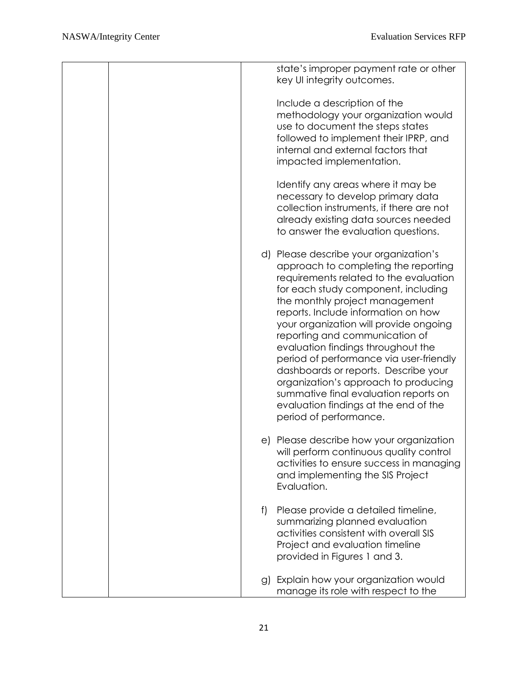|  |    | state's improper payment rate or other<br>key UI integrity outcomes.                                                                                                                                                                                                                                                                                                                                                                                                                                                                                                                              |
|--|----|---------------------------------------------------------------------------------------------------------------------------------------------------------------------------------------------------------------------------------------------------------------------------------------------------------------------------------------------------------------------------------------------------------------------------------------------------------------------------------------------------------------------------------------------------------------------------------------------------|
|  |    | Include a description of the<br>methodology your organization would<br>use to document the steps states<br>followed to implement their IPRP, and<br>internal and external factors that<br>impacted implementation.                                                                                                                                                                                                                                                                                                                                                                                |
|  |    | Identify any areas where it may be<br>necessary to develop primary data<br>collection instruments, if there are not<br>already existing data sources needed<br>to answer the evaluation questions.                                                                                                                                                                                                                                                                                                                                                                                                |
|  |    | d) Please describe your organization's<br>approach to completing the reporting<br>requirements related to the evaluation<br>for each study component, including<br>the monthly project management<br>reports. Include information on how<br>your organization will provide ongoing<br>reporting and communication of<br>evaluation findings throughout the<br>period of performance via user-friendly<br>dashboards or reports. Describe your<br>organization's approach to producing<br>summative final evaluation reports on<br>evaluation findings at the end of the<br>period of performance. |
|  |    | e) Please describe how your organization<br>will perform continuous quality control<br>activities to ensure success in managing<br>and implementing the SIS Project<br>Evaluation.                                                                                                                                                                                                                                                                                                                                                                                                                |
|  | f) | Please provide a detailed timeline,<br>summarizing planned evaluation<br>activities consistent with overall SIS<br>Project and evaluation timeline<br>provided in Figures 1 and 3.                                                                                                                                                                                                                                                                                                                                                                                                                |
|  |    | g) Explain how your organization would<br>manage its role with respect to the                                                                                                                                                                                                                                                                                                                                                                                                                                                                                                                     |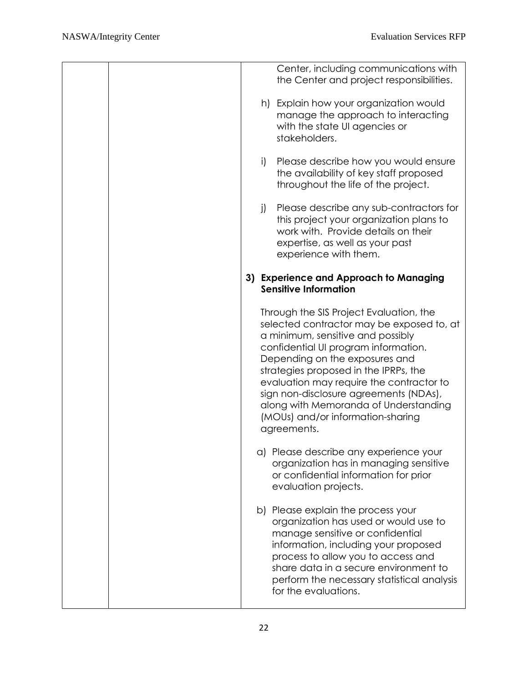|  |    | Center, including communications with<br>the Center and project responsibilities.                                                                                                                                                                                                                                                                                                                                               |
|--|----|---------------------------------------------------------------------------------------------------------------------------------------------------------------------------------------------------------------------------------------------------------------------------------------------------------------------------------------------------------------------------------------------------------------------------------|
|  |    | h) Explain how your organization would<br>manage the approach to interacting<br>with the state UI agencies or<br>stakeholders.                                                                                                                                                                                                                                                                                                  |
|  | i) | Please describe how you would ensure<br>the availability of key staff proposed<br>throughout the life of the project.                                                                                                                                                                                                                                                                                                           |
|  | j) | Please describe any sub-contractors for<br>this project your organization plans to<br>work with. Provide details on their<br>expertise, as well as your past<br>experience with them.                                                                                                                                                                                                                                           |
|  |    | 3) Experience and Approach to Managing<br><b>Sensitive Information</b>                                                                                                                                                                                                                                                                                                                                                          |
|  |    | Through the SIS Project Evaluation, the<br>selected contractor may be exposed to, at<br>a minimum, sensitive and possibly<br>confidential UI program information.<br>Depending on the exposures and<br>strategies proposed in the IPRPs, the<br>evaluation may require the contractor to<br>sign non-disclosure agreements (NDAs),<br>along with Memoranda of Understanding<br>(MOUs) and/or information-sharing<br>agreements. |
|  |    | a) Please describe any experience your<br>organization has in managing sensitive<br>or confidential information for prior<br>evaluation projects.                                                                                                                                                                                                                                                                               |
|  |    | b) Please explain the process your<br>organization has used or would use to<br>manage sensitive or confidential<br>information, including your proposed<br>process to allow you to access and<br>share data in a secure environment to<br>perform the necessary statistical analysis<br>for the evaluations.                                                                                                                    |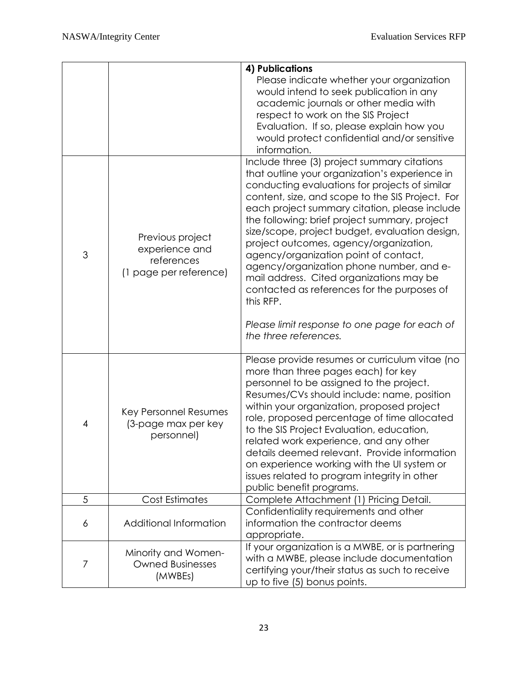|   |                                                                            | 4) Publications                                                                                                                                                                                                                                                                                                                                                                                                                                                                                                                                                                                                                                 |
|---|----------------------------------------------------------------------------|-------------------------------------------------------------------------------------------------------------------------------------------------------------------------------------------------------------------------------------------------------------------------------------------------------------------------------------------------------------------------------------------------------------------------------------------------------------------------------------------------------------------------------------------------------------------------------------------------------------------------------------------------|
|   |                                                                            | Please indicate whether your organization<br>would intend to seek publication in any<br>academic journals or other media with<br>respect to work on the SIS Project<br>Evaluation. If so, please explain how you<br>would protect confidential and/or sensitive<br>information.                                                                                                                                                                                                                                                                                                                                                                 |
| 3 | Previous project<br>experience and<br>references<br>(1 page per reference) | Include three (3) project summary citations<br>that outline your organization's experience in<br>conducting evaluations for projects of similar<br>content, size, and scope to the SIS Project. For<br>each project summary citation, please include<br>the following: brief project summary, project<br>size/scope, project budget, evaluation design,<br>project outcomes, agency/organization,<br>agency/organization point of contact,<br>agency/organization phone number, and e-<br>mail address. Cited organizations may be<br>contacted as references for the purposes of<br>this RFP.<br>Please limit response to one page for each of |
|   |                                                                            | the three references.                                                                                                                                                                                                                                                                                                                                                                                                                                                                                                                                                                                                                           |
| 4 | Key Personnel Resumes<br>(3-page max per key<br>personnel)                 | Please provide resumes or curriculum vitae (no<br>more than three pages each) for key<br>personnel to be assigned to the project.<br>Resumes/CVs should include: name, position<br>within your organization, proposed project<br>role, proposed percentage of time allocated<br>to the SIS Project Evaluation, education,<br>related work experience, and any other<br>details deemed relevant. Provide information<br>on experience working with the UI system or<br>issues related to program integrity in other<br>public benefit programs.                                                                                                  |
| 5 | Cost Estimates                                                             | Complete Attachment (1) Pricing Detail.                                                                                                                                                                                                                                                                                                                                                                                                                                                                                                                                                                                                         |
| 6 | Additional Information                                                     | Confidentiality requirements and other<br>information the contractor deems<br>appropriate.                                                                                                                                                                                                                                                                                                                                                                                                                                                                                                                                                      |
| 7 | Minority and Women-<br><b>Owned Businesses</b><br>(MWBEs)                  | If your organization is a MWBE, or is partnering<br>with a MWBE, please include documentation<br>certifying your/their status as such to receive<br>up to five (5) bonus points.                                                                                                                                                                                                                                                                                                                                                                                                                                                                |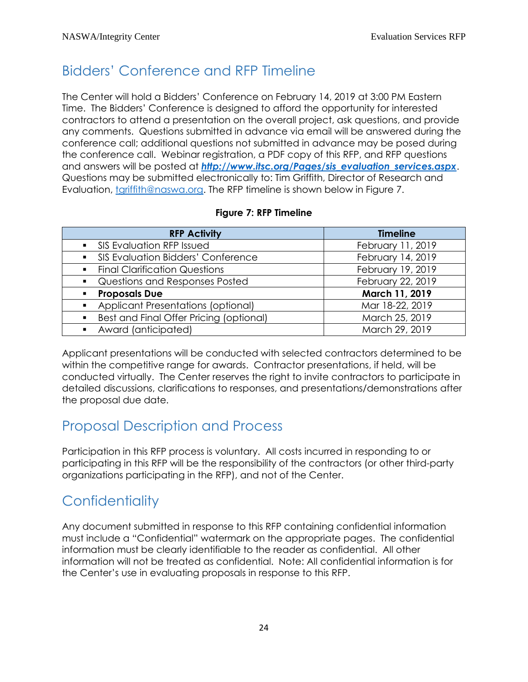# <span id="page-25-0"></span>Bidders' Conference and RFP Timeline

The Center will hold a Bidders' Conference on February 14, 2019 at 3:00 PM Eastern Time. The Bidders' Conference is designed to afford the opportunity for interested contractors to attend a presentation on the overall project, ask questions, and provide any comments. Questions submitted in advance via email will be answered during the conference call; additional questions not submitted in advance may be posed during the conference call. Webinar registration, a PDF copy of this RFP, and RFP questions and answers will be posted at *[http://www.itsc.org/Pages/sis\\_evaluation\\_services.aspx](http://www.itsc.org/Pages/sis_evaluation_services.aspx)*. Questions may be submitted electronically to: Tim Griffith, Director of Research and Evaluation, [tgriffith@naswa.org.](mailto:tgriffith@naswa.org) The RFP timeline is shown below in Figure 7.

|  |  |  | Figure 7: RFP Timeline |
|--|--|--|------------------------|
|--|--|--|------------------------|

| <b>RFP Activity</b>                       | <b>Timeline</b>   |  |  |
|-------------------------------------------|-------------------|--|--|
| <b>SIS Evaluation RFP Issued</b>          | February 11, 2019 |  |  |
| <b>SIS Evaluation Bidders' Conference</b> | February 14, 2019 |  |  |
| <b>Final Clarification Questions</b>      | February 19, 2019 |  |  |
| Questions and Responses Posted            | February 22, 2019 |  |  |
| <b>Proposals Due</b>                      | March 11, 2019    |  |  |
| Applicant Presentations (optional)        | Mar 18-22, 2019   |  |  |
| Best and Final Offer Pricing (optional)   | March 25, 2019    |  |  |
| Award (anticipated)                       | March 29, 2019    |  |  |

Applicant presentations will be conducted with selected contractors determined to be within the competitive range for awards. Contractor presentations, if held, will be conducted virtually. The Center reserves the right to invite contractors to participate in detailed discussions, clarifications to responses, and presentations/demonstrations after the proposal due date.

### <span id="page-25-1"></span>Proposal Description and Process

Participation in this RFP process is voluntary. All costs incurred in responding to or participating in this RFP will be the responsibility of the contractors (or other third-party organizations participating in the RFP), and not of the Center.

# <span id="page-25-2"></span>**Confidentiality**

Any document submitted in response to this RFP containing confidential information must include a "Confidential" watermark on the appropriate pages. The confidential information must be clearly identifiable to the reader as confidential. All other information will not be treated as confidential. Note: All confidential information is for the Center's use in evaluating proposals in response to this RFP.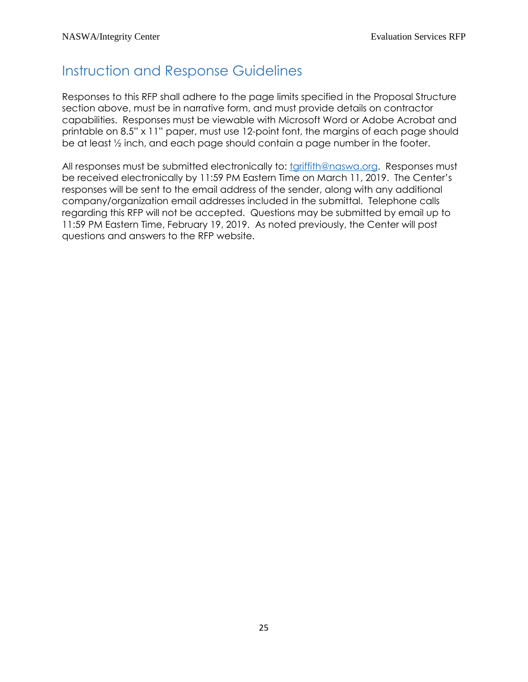### <span id="page-26-0"></span>Instruction and Response Guidelines

Responses to this RFP shall adhere to the page limits specified in the Proposal Structure section above, must be in narrative form, and must provide details on contractor capabilities. Responses must be viewable with Microsoft Word or Adobe Acrobat and printable on 8.5" x 11" paper, must use 12-point font, the margins of each page should be at least ½ inch, and each page should contain a page number in the footer.

All responses must be submitted electronically to: [tgriffith@naswa.org.](mailto:tgriffith@naswa.org) Responses must be received electronically by 11:59 PM Eastern Time on March 11, 2019. The Center's responses will be sent to the email address of the sender, along with any additional company/organization email addresses included in the submittal. Telephone calls regarding this RFP will not be accepted. Questions may be submitted by email up to 11:59 PM Eastern Time, February 19, 2019. As noted previously, the Center will post questions and answers to the RFP website.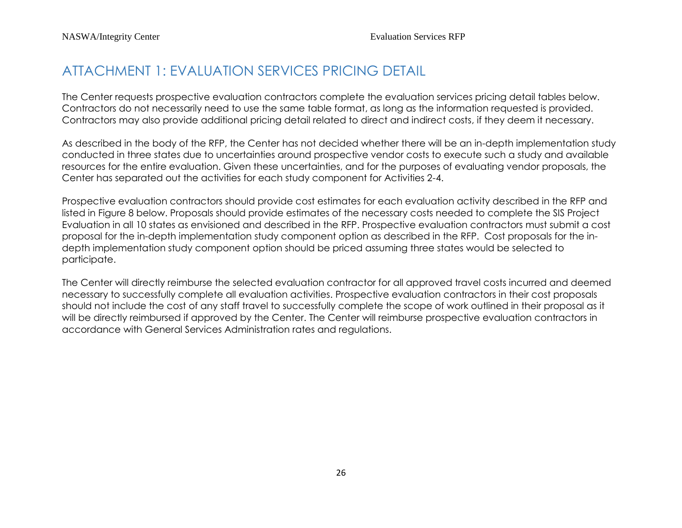### ATTACHMENT 1: EVALUATION SERVICES PRICING DETAIL

The Center requests prospective evaluation contractors complete the evaluation services pricing detail tables below. Contractors do not necessarily need to use the same table format, as long as the information requested is provided. Contractors may also provide additional pricing detail related to direct and indirect costs, if they deem it necessary.

As described in the body of the RFP, the Center has not decided whether there will be an in-depth implementation study conducted in three states due to uncertainties around prospective vendor costs to execute such a study and available resources for the entire evaluation. Given these uncertainties, and for the purposes of evaluating vendor proposals, the Center has separated out the activities for each study component for Activities 2-4.

<span id="page-27-0"></span>Prospective evaluation contractors should provide cost estimates for each evaluation activity described in the RFP and listed in Figure 8 below. Proposals should provide estimates of the necessary costs needed to complete the SIS Project Evaluation in all 10 states as envisioned and described in the RFP. Prospective evaluation contractors must submit a cost proposal for the in-depth implementation study component option as described in the RFP. Cost proposals for the indepth implementation study component option should be priced assuming three states would be selected to participate.

The Center will directly reimburse the selected evaluation contractor for all approved travel costs incurred and deemed necessary to successfully complete all evaluation activities. Prospective evaluation contractors in their cost proposals should not include the cost of any staff travel to successfully complete the scope of work outlined in their proposal as it will be directly reimbursed if approved by the Center. The Center will reimburse prospective evaluation contractors in accordance with General Services Administration rates and regulations.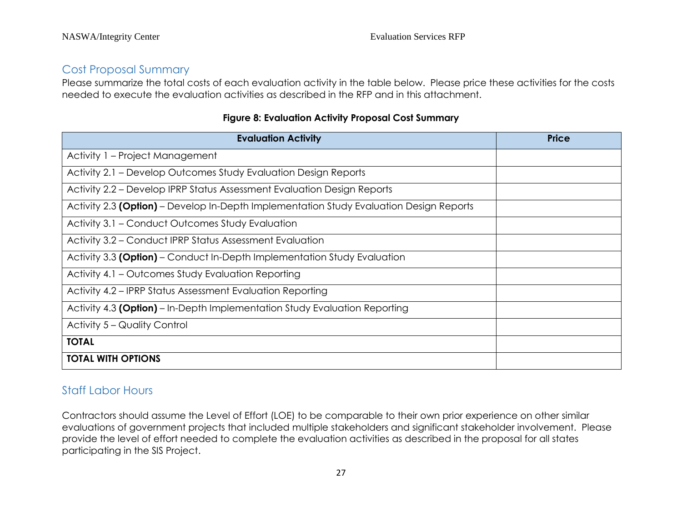#### Cost Proposal Summary

Please summarize the total costs of each evaluation activity in the table below. Please price these activities for the costs needed to execute the evaluation activities as described in the RFP and in this attachment.

| <b>Evaluation Activity</b>                                                              | <b>Price</b> |
|-----------------------------------------------------------------------------------------|--------------|
| Activity 1 – Project Management                                                         |              |
| Activity 2.1 – Develop Outcomes Study Evaluation Design Reports                         |              |
| Activity 2.2 – Develop IPRP Status Assessment Evaluation Design Reports                 |              |
| Activity 2.3 (Option) – Develop In-Depth Implementation Study Evaluation Design Reports |              |
| Activity 3.1 – Conduct Outcomes Study Evaluation                                        |              |
| Activity 3.2 - Conduct IPRP Status Assessment Evaluation                                |              |
| Activity 3.3 (Option) – Conduct In-Depth Implementation Study Evaluation                |              |
| Activity 4.1 – Outcomes Study Evaluation Reporting                                      |              |
| Activity 4.2 – IPRP Status Assessment Evaluation Reporting                              |              |
| Activity 4.3 (Option) - In-Depth Implementation Study Evaluation Reporting              |              |
| Activity 5 – Quality Control                                                            |              |
| <b>TOTAL</b>                                                                            |              |
| <b>TOTAL WITH OPTIONS</b>                                                               |              |

#### **Figure 8: Evaluation Activity Proposal Cost Summary**

#### Staff Labor Hours

Contractors should assume the Level of Effort (LOE) to be comparable to their own prior experience on other similar evaluations of government projects that included multiple stakeholders and significant stakeholder involvement. Please provide the level of effort needed to complete the evaluation activities as described in the proposal for all states participating in the SIS Project.